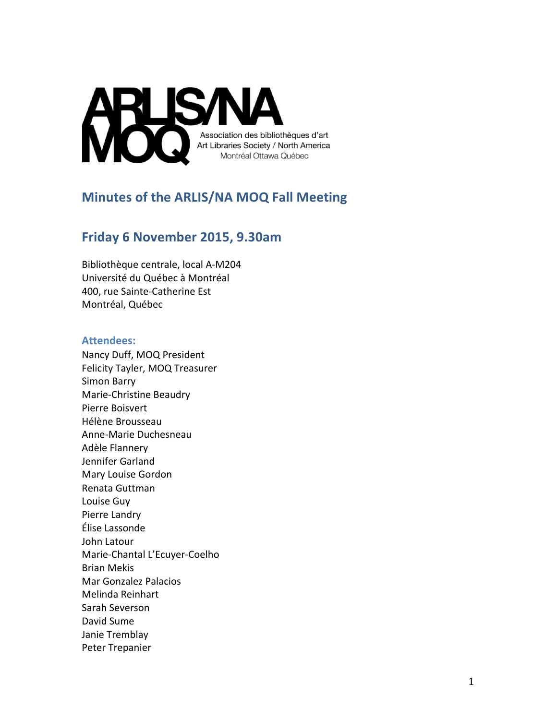

# **Minutes of the ARLIS/NA MOQ Fall Meeting**

## **Friday 6 November 2015, 9.30am**

Bibliothèque centrale, local A-M204 Université du Québec à Montréal 400, rue Sainte-Catherine Est Montréal, Québec

#### **Attendees:**

Nancy Duff, MOQ President Felicity Tayler, MOQ Treasurer Simon Barry Marie-Christine Beaudry Pierre Boisvert Hélène Brousseau Anne-Marie Duchesneau Adèle Flannery Jennifer Garland Mary Louise Gordon Renata Guttman Louise Guy Pierre Landry Élise Lassonde John Latour Marie-Chantal L'Ecuyer-Coelho Brian Mekis Mar Gonzalez Palacios Melinda Reinhart Sarah Severson David Sume Janie Tremblay Peter Trepanier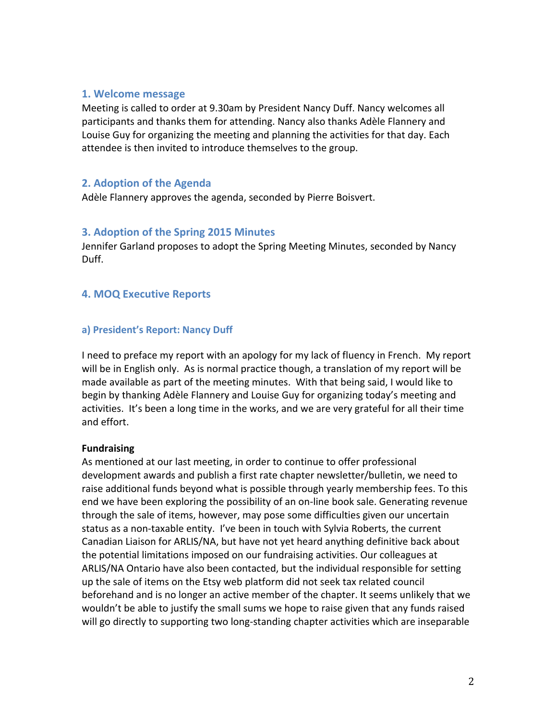#### **1. Welcome message**

Meeting is called to order at 9.30am by President Nancy Duff. Nancy welcomes all participants and thanks them for attending. Nancy also thanks Adèle Flannery and Louise Guy for organizing the meeting and planning the activities for that day. Each attendee is then invited to introduce themselves to the group.

## **2. Adoption of the Agenda**

Adèle Flannery approves the agenda, seconded by Pierre Boisvert.

### **3. Adoption of the Spring 2015 Minutes**

Jennifer Garland proposes to adopt the Spring Meeting Minutes, seconded by Nancy Duff.

## **4. MOQ Executive Reports**

#### a) President's Report: Nancy Duff

I need to preface my report with an apology for my lack of fluency in French. My report will be in English only. As is normal practice though, a translation of my report will be made available as part of the meeting minutes. With that being said, I would like to begin by thanking Adèle Flannery and Louise Guy for organizing today's meeting and activities. It's been a long time in the works, and we are very grateful for all their time and effort. 

#### **Fundraising**

As mentioned at our last meeting, in order to continue to offer professional development awards and publish a first rate chapter newsletter/bulletin, we need to raise additional funds beyond what is possible through yearly membership fees. To this end we have been exploring the possibility of an on-line book sale. Generating revenue through the sale of items, however, may pose some difficulties given our uncertain status as a non-taxable entity. I've been in touch with Sylvia Roberts, the current Canadian Liaison for ARLIS/NA, but have not yet heard anything definitive back about the potential limitations imposed on our fundraising activities. Our colleagues at ARLIS/NA Ontario have also been contacted, but the individual responsible for setting up the sale of items on the Etsy web platform did not seek tax related council beforehand and is no longer an active member of the chapter. It seems unlikely that we wouldn't be able to justify the small sums we hope to raise given that any funds raised will go directly to supporting two long-standing chapter activities which are inseparable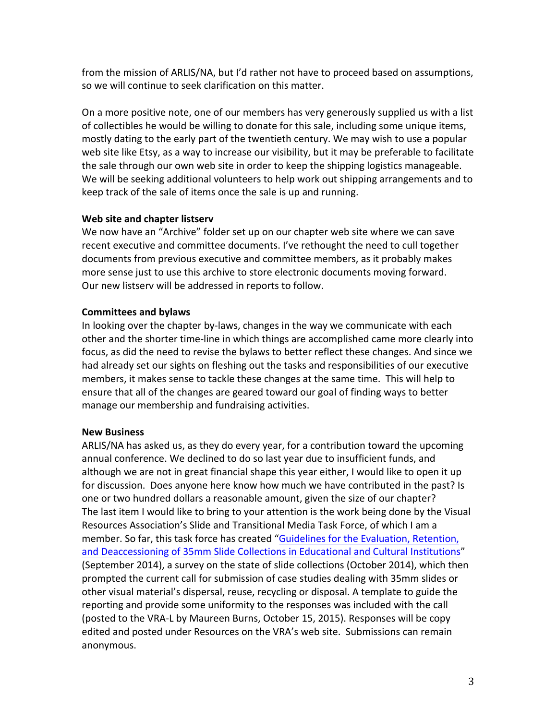from the mission of ARLIS/NA, but I'd rather not have to proceed based on assumptions, so we will continue to seek clarification on this matter.

On a more positive note, one of our members has very generously supplied us with a list of collectibles he would be willing to donate for this sale, including some unique items, mostly dating to the early part of the twentieth century. We may wish to use a popular web site like Etsy, as a way to increase our visibility, but it may be preferable to facilitate the sale through our own web site in order to keep the shipping logistics manageable. We will be seeking additional volunteers to help work out shipping arrangements and to keep track of the sale of items once the sale is up and running.

### **Web site and chapter listserv**

We now have an "Archive" folder set up on our chapter web site where we can save recent executive and committee documents. I've rethought the need to cull together documents from previous executive and committee members, as it probably makes more sense just to use this archive to store electronic documents moving forward. Our new listserv will be addressed in reports to follow.

## **Committees and bylaws**

In looking over the chapter by-laws, changes in the way we communicate with each other and the shorter time-line in which things are accomplished came more clearly into focus, as did the need to revise the bylaws to better reflect these changes. And since we had already set our sights on fleshing out the tasks and responsibilities of our executive members, it makes sense to tackle these changes at the same time. This will help to ensure that all of the changes are geared toward our goal of finding ways to better manage our membership and fundraising activities.

## **New Business**

ARLIS/NA has asked us, as they do every year, for a contribution toward the upcoming annual conference. We declined to do so last year due to insufficient funds, and although we are not in great financial shape this year either, I would like to open it up for discussion. Does anyone here know how much we have contributed in the past? Is one or two hundred dollars a reasonable amount, given the size of our chapter? The last item I would like to bring to your attention is the work being done by the Visual Resources Association's Slide and Transitional Media Task Force, of which I am a member. So far, this task force has created "Guidelines for the Evaluation, Retention, and Deaccessioning of 35mm Slide Collections in Educational and Cultural Institutions" (September 2014), a survey on the state of slide collections (October 2014), which then prompted the current call for submission of case studies dealing with 35mm slides or other visual material's dispersal, reuse, recycling or disposal. A template to guide the reporting and provide some uniformity to the responses was included with the call (posted to the VRA-L by Maureen Burns, October 15, 2015). Responses will be copy edited and posted under Resources on the VRA's web site. Submissions can remain anonymous.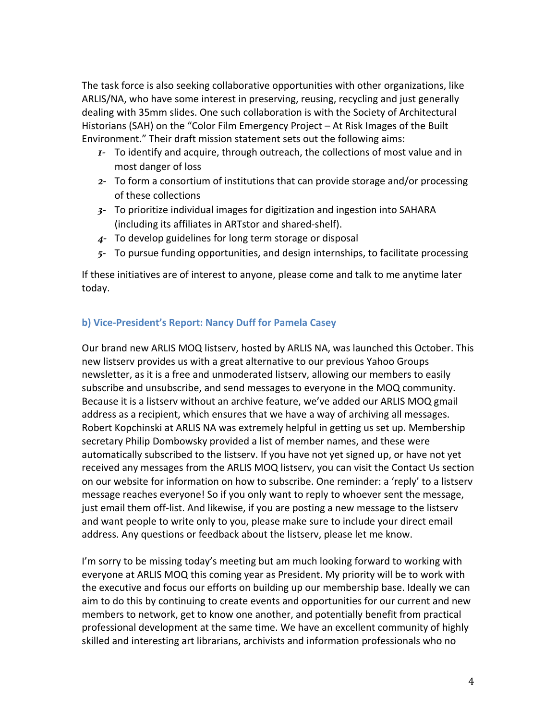The task force is also seeking collaborative opportunities with other organizations, like ARLIS/NA, who have some interest in preserving, reusing, recycling and just generally dealing with 35mm slides. One such collaboration is with the Society of Architectural Historians (SAH) on the "Color Film Emergency Project  $-$  At Risk Images of the Built Environment." Their draft mission statement sets out the following aims:

- *1* To identify and acquire, through outreach, the collections of most value and in most danger of loss
- 2- To form a consortium of institutions that can provide storage and/or processing of these collections
- 3- To prioritize individual images for digitization and ingestion into SAHARA (including its affiliates in ARTstor and shared-shelf).
- 4- To develop guidelines for long term storage or disposal
- 5- To pursue funding opportunities, and design internships, to facilitate processing

If these initiatives are of interest to anyone, please come and talk to me anytime later today.

## **b) Vice-President's Report: Nancy Duff for Pamela Casey**

Our brand new ARLIS MOQ listserv, hosted by ARLIS NA, was launched this October. This new listsery provides us with a great alternative to our previous Yahoo Groups newsletter, as it is a free and unmoderated listserv, allowing our members to easily subscribe and unsubscribe, and send messages to everyone in the MOQ community. Because it is a listserv without an archive feature, we've added our ARLIS MOQ gmail address as a recipient, which ensures that we have a way of archiving all messages. Robert Kopchinski at ARLIS NA was extremely helpful in getting us set up. Membership secretary Philip Dombowsky provided a list of member names, and these were automatically subscribed to the listserv. If you have not yet signed up, or have not yet received any messages from the ARLIS MOQ listserv, you can visit the Contact Us section on our website for information on how to subscribe. One reminder: a 'reply' to a listsery message reaches everyone! So if you only want to reply to whoever sent the message, just email them off-list. And likewise, if you are posting a new message to the listserv and want people to write only to you, please make sure to include your direct email address. Any questions or feedback about the listserv, please let me know.

I'm sorry to be missing today's meeting but am much looking forward to working with everyone at ARLIS MOQ this coming year as President. My priority will be to work with the executive and focus our efforts on building up our membership base. Ideally we can aim to do this by continuing to create events and opportunities for our current and new members to network, get to know one another, and potentially benefit from practical professional development at the same time. We have an excellent community of highly skilled and interesting art librarians, archivists and information professionals who no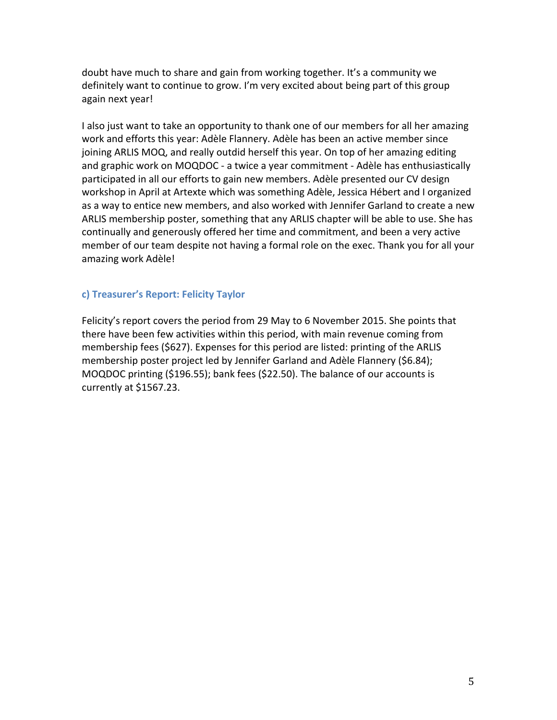doubt have much to share and gain from working together. It's a community we definitely want to continue to grow. I'm very excited about being part of this group again next year!

I also just want to take an opportunity to thank one of our members for all her amazing work and efforts this year: Adèle Flannery. Adèle has been an active member since joining ARLIS MOQ, and really outdid herself this year. On top of her amazing editing and graphic work on MOQDOC - a twice a year commitment - Adèle has enthusiastically participated in all our efforts to gain new members. Adèle presented our CV design workshop in April at Artexte which was something Adèle, Jessica Hébert and I organized as a way to entice new members, and also worked with Jennifer Garland to create a new ARLIS membership poster, something that any ARLIS chapter will be able to use. She has continually and generously offered her time and commitment, and been a very active member of our team despite not having a formal role on the exec. Thank you for all your amazing work Adèle!

## **c) Treasurer's Report: Felicity Taylor**

Felicity's report covers the period from 29 May to 6 November 2015. She points that there have been few activities within this period, with main revenue coming from membership fees (\$627). Expenses for this period are listed: printing of the ARLIS membership poster project led by Jennifer Garland and Adèle Flannery (\$6.84); MOQDOC printing (\$196.55); bank fees (\$22.50). The balance of our accounts is currently at \$1567.23.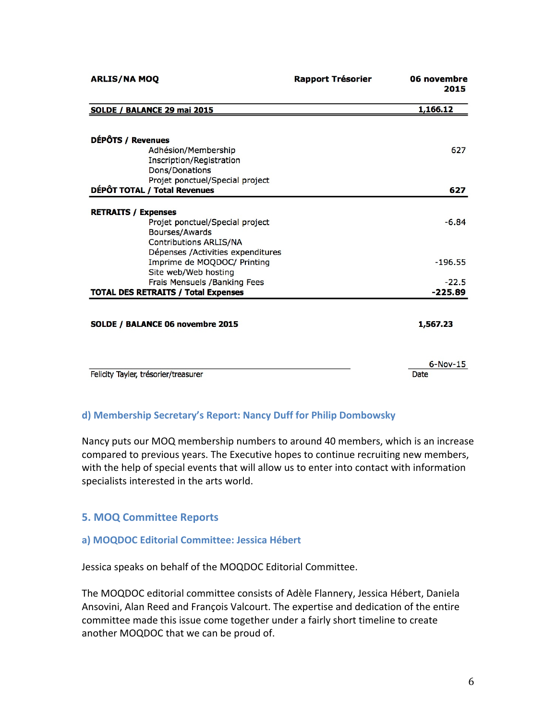| <b>ARLIS/NA MOQ</b>                        | <b>Rapport Trésorier</b> | 06 novembre<br>2015 |
|--------------------------------------------|--------------------------|---------------------|
| SOLDE / BALANCE 29 mai 2015                |                          | 1,166.12            |
| DÉPÔTS / Revenues                          |                          |                     |
| Adhésion/Membership                        |                          | 627                 |
| Inscription/Registration                   |                          |                     |
| Dons/Donations                             |                          |                     |
| Projet ponctuel/Special project            |                          |                     |
| DÉPÔT TOTAL / Total Revenues               |                          | 627                 |
| <b>RETRAITS / Expenses</b>                 |                          |                     |
| Projet ponctuel/Special project            |                          | $-6.84$             |
| Bourses/Awards                             |                          |                     |
| <b>Contributions ARLIS/NA</b>              |                          |                     |
| Dépenses /Activities expenditures          |                          |                     |
| Imprime de MOQDOC/ Printing                |                          | $-196.55$           |
| Site web/Web hosting                       |                          |                     |
| Frais Mensuels / Banking Fees              |                          | $-22.5$             |
| <b>TOTAL DES RETRAITS / Total Expenses</b> |                          | $-225.89$           |
|                                            |                          |                     |
| SOLDE / BALANCE 06 novembre 2015           |                          | 1,567.23            |
|                                            |                          |                     |
|                                            |                          | $6-Nov-15$          |
| Felicity Tayler, trésorier/treasurer       |                          | Date                |

## **d) Membership Secretary's Report: Nancy Duff for Philip Dombowsky**

Nancy puts our MOQ membership numbers to around 40 members, which is an increase compared to previous years. The Executive hopes to continue recruiting new members, with the help of special events that will allow us to enter into contact with information specialists interested in the arts world.

#### **5. MOQ Committee Reports**

#### a) MOQDOC Editorial Committee: Jessica Hébert

Jessica speaks on behalf of the MOQDOC Editorial Committee.

The MOQDOC editorial committee consists of Adèle Flannery, Jessica Hébert, Daniela Ansovini, Alan Reed and François Valcourt. The expertise and dedication of the entire committee made this issue come together under a fairly short timeline to create another MOQDOC that we can be proud of.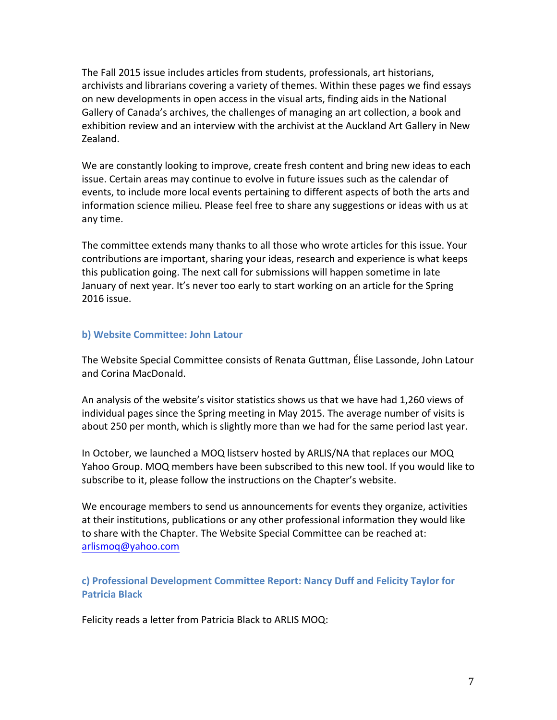The Fall 2015 issue includes articles from students, professionals, art historians, archivists and librarians covering a variety of themes. Within these pages we find essays on new developments in open access in the visual arts, finding aids in the National Gallery of Canada's archives, the challenges of managing an art collection, a book and exhibition review and an interview with the archivist at the Auckland Art Gallery in New Zealand. 

We are constantly looking to improve, create fresh content and bring new ideas to each issue. Certain areas may continue to evolve in future issues such as the calendar of events, to include more local events pertaining to different aspects of both the arts and information science milieu. Please feel free to share any suggestions or ideas with us at any time.

The committee extends many thanks to all those who wrote articles for this issue. Your contributions are important, sharing your ideas, research and experience is what keeps this publication going. The next call for submissions will happen sometime in late January of next year. It's never too early to start working on an article for the Spring 2016 issue.

#### **b) Website Committee: John Latour**

The Website Special Committee consists of Renata Guttman, Élise Lassonde, John Latour and Corina MacDonald.

An analysis of the website's visitor statistics shows us that we have had 1,260 views of individual pages since the Spring meeting in May 2015. The average number of visits is about 250 per month, which is slightly more than we had for the same period last year.

In October, we launched a MOQ listserv hosted by ARLIS/NA that replaces our MOQ Yahoo Group. MOQ members have been subscribed to this new tool. If you would like to subscribe to it, please follow the instructions on the Chapter's website.

We encourage members to send us announcements for events they organize, activities at their institutions, publications or any other professional information they would like to share with the Chapter. The Website Special Committee can be reached at: arlismoq@yahoo.com

**c) Professional Development Committee Report: Nancy Duff and Felicity Taylor for Patricia Black**

Felicity reads a letter from Patricia Black to ARLIS MOQ: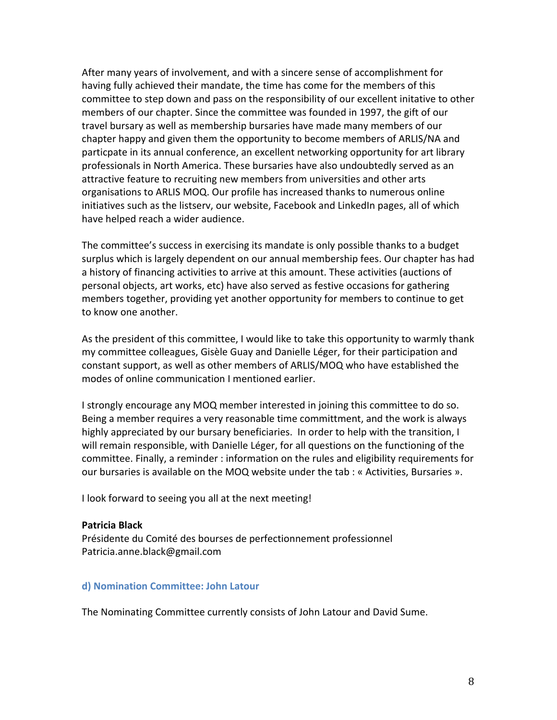After many years of involvement, and with a sincere sense of accomplishment for having fully achieved their mandate, the time has come for the members of this committee to step down and pass on the responsibility of our excellent initative to other members of our chapter. Since the committee was founded in 1997, the gift of our travel bursary as well as membership bursaries have made many members of our chapter happy and given them the opportunity to become members of ARLIS/NA and particpate in its annual conference, an excellent networking opportunity for art library professionals in North America. These bursaries have also undoubtedly served as an attractive feature to recruiting new members from universities and other arts organisations to ARLIS MOQ. Our profile has increased thanks to numerous online initiatives such as the listserv, our website, Facebook and LinkedIn pages, all of which have helped reach a wider audience.

The committee's success in exercising its mandate is only possible thanks to a budget surplus which is largely dependent on our annual membership fees. Our chapter has had a history of financing activities to arrive at this amount. These activities (auctions of personal objects, art works, etc) have also served as festive occasions for gathering members together, providing yet another opportunity for members to continue to get to know one another.

As the president of this committee, I would like to take this opportunity to warmly thank my committee colleagues, Gisèle Guay and Danielle Léger, for their participation and constant support, as well as other members of ARLIS/MOQ who have established the modes of online communication I mentioned earlier.

I strongly encourage any MOQ member interested in joining this committee to do so. Being a member requires a very reasonable time committment, and the work is always highly appreciated by our bursary beneficiaries. In order to help with the transition, I will remain responsible, with Danielle Léger, for all questions on the functioning of the committee. Finally, a reminder : information on the rules and eligibility requirements for our bursaries is available on the MOQ website under the tab : « Activities, Bursaries ».

I look forward to seeing you all at the next meeting!

#### **Patricia Black**

Présidente du Comité des bourses de perfectionnement professionnel Patricia.anne.black@gmail.com

#### **d) Nomination Committee: John Latour**

The Nominating Committee currently consists of John Latour and David Sume.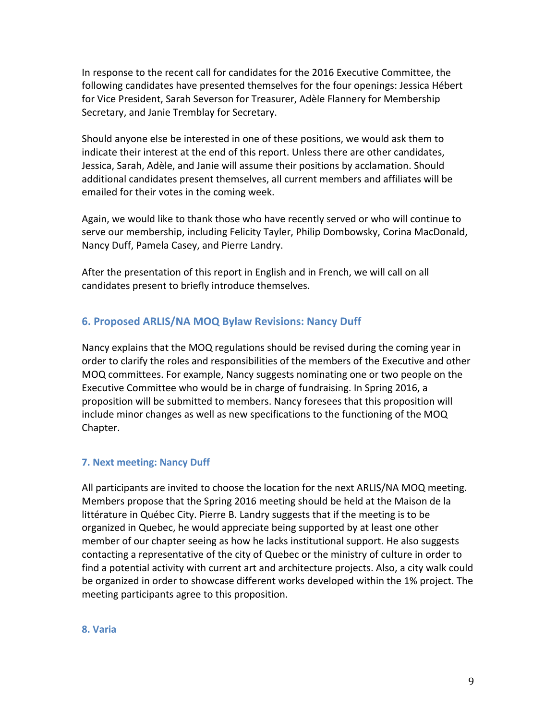In response to the recent call for candidates for the 2016 Executive Committee, the following candidates have presented themselves for the four openings: Jessica Hébert for Vice President, Sarah Severson for Treasurer, Adèle Flannery for Membership Secretary, and Janie Tremblay for Secretary.

Should anyone else be interested in one of these positions, we would ask them to indicate their interest at the end of this report. Unless there are other candidates, Jessica, Sarah, Adèle, and Janie will assume their positions by acclamation. Should additional candidates present themselves, all current members and affiliates will be emailed for their votes in the coming week.

Again, we would like to thank those who have recently served or who will continue to serve our membership, including Felicity Tayler, Philip Dombowsky, Corina MacDonald, Nancy Duff, Pamela Casey, and Pierre Landry.

After the presentation of this report in English and in French, we will call on all candidates present to briefly introduce themselves.

## **6. Proposed ARLIS/NA MOQ Bylaw Revisions: Nancy Duff**

Nancy explains that the MOQ regulations should be revised during the coming year in order to clarify the roles and responsibilities of the members of the Executive and other MOQ committees. For example, Nancy suggests nominating one or two people on the Executive Committee who would be in charge of fundraising. In Spring 2016, a proposition will be submitted to members. Nancy foresees that this proposition will include minor changes as well as new specifications to the functioning of the MOQ Chapter.

## **7. Next meeting: Nancy Duff**

All participants are invited to choose the location for the next ARLIS/NA MOQ meeting. Members propose that the Spring 2016 meeting should be held at the Maison de la littérature in Québec City. Pierre B. Landry suggests that if the meeting is to be organized in Quebec, he would appreciate being supported by at least one other member of our chapter seeing as how he lacks institutional support. He also suggests contacting a representative of the city of Quebec or the ministry of culture in order to find a potential activity with current art and architecture projects. Also, a city walk could be organized in order to showcase different works developed within the 1% project. The meeting participants agree to this proposition.

#### **8. Varia**